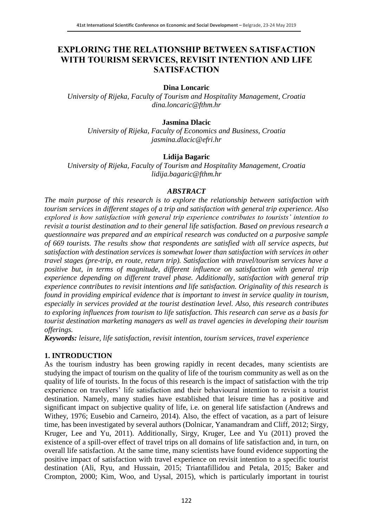# **EXPLORING THE RELATIONSHIP BETWEEN SATISFACTION WITH TOURISM SERVICES, REVISIT INTENTION AND LIFE SATISFACTION**

### **Dina Loncaric**

*University of Rijeka, Faculty of Tourism and Hospitality Management, Croatia dina.loncaric@fthm.hr*

### **Jasmina Dlacic**

*University of Rijeka, Faculty of Economics and Business, Croatia jasmina.dlacic@efri.hr*

# **Lidija Bagaric**

*University of Rijeka, Faculty of Tourism and Hospitality Management, Croatia lidija.bagaric@fthm.hr*

### *ABSTRACT*

*The main purpose of this research is to explore the relationship between satisfaction with tourism services in different stages of a trip and satisfaction with general trip experience. Also explored is how satisfaction with general trip experience contributes to tourists' intention to revisit a tourist destination and to their general life satisfaction. Based on previous research a questionnaire was prepared and an empirical research was conducted on a purposive sample of 669 tourists. The results show that respondents are satisfied with all service aspects, but satisfaction with destination services is somewhat lower than satisfaction with services in other travel stages (pre-trip, en route, return trip). Satisfaction with travel/tourism services have a positive but, in terms of magnitude, different influence on satisfaction with general trip experience depending on different travel phase. Additionally, satisfaction with general trip experience contributes to revisit intentions and life satisfaction. Originality of this research is found in providing empirical evidence that is important to invest in service quality in tourism, especially in services provided at the tourist destination level. Also, this research contributes to exploring influences from tourism to life satisfaction. This research can serve as a basis for tourist destination marketing managers as well as travel agencies in developing their tourism offerings.*

*Keywords: leisure, life satisfaction, revisit intention, tourism services, travel experience* 

# **1. INTRODUCTION**

As the tourism industry has been growing rapidly in recent decades, many scientists are studying the impact of tourism on the quality of life of the tourism community as well as on the quality of life of tourists. In the focus of this research is the impact of satisfaction with the trip experience on travellers' life satisfaction and their behavioural intention to revisit a tourist destination. Namely, many studies have established that leisure time has a positive and significant impact on subjective quality of life, i.e. on general life satisfaction (Andrews and Withey, 1976; Eusebio and Carneiro, 2014). Also, the effect of vacation, as a part of leisure time, has been investigated by several authors (Dolnicar, Yanamandram and Cliff, 2012; Sirgy, Kruger, Lee and Yu, 2011). Additionally, Sirgy, Kruger, Lee and Yu (2011) proved the existence of a spill-over effect of travel trips on all domains of life satisfaction and, in turn, on overall life satisfaction. At the same time, many scientists have found evidence supporting the positive impact of satisfaction with travel experience on revisit intention to a specific tourist destination (Ali, Ryu, and Hussain, 2015; Triantafillidou and Petala, 2015; Baker and Crompton, 2000; Kim, Woo, and Uysal, 2015), which is particularly important in tourist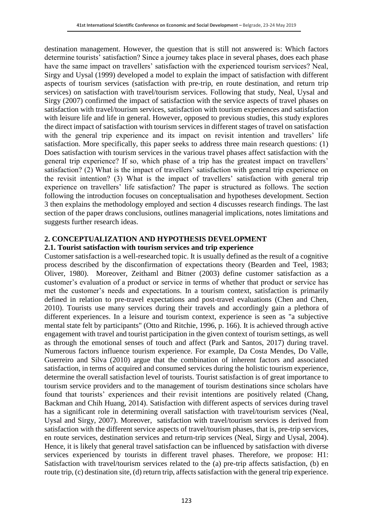destination management. However, the question that is still not answered is: Which factors determine tourists' satisfaction? Since a journey takes place in several phases, does each phase have the same impact on travellers' satisfaction with the experienced tourism services? Neal, Sirgy and Uysal (1999) developed a model to explain the impact of satisfaction with different aspects of tourism services (satisfaction with pre-trip, en route destination, and return trip services) on satisfaction with travel/tourism services. Following that study, Neal, Uysal and Sirgy (2007) confirmed the impact of satisfaction with the service aspects of travel phases on satisfaction with travel/tourism services, satisfaction with tourism experiences and satisfaction with leisure life and life in general. However, opposed to previous studies, this study explores the direct impact of satisfaction with tourism services in different stages of travel on satisfaction with the general trip experience and its impact on revisit intention and travellers' life satisfaction. More specifically, this paper seeks to address three main research questions: (1) Does satisfaction with tourism services in the various travel phases affect satisfaction with the general trip experience? If so, which phase of a trip has the greatest impact on travellers' satisfaction? (2) What is the impact of travellers' satisfaction with general trip experience on the revisit intention? (3) What is the impact of travellers' satisfaction with general trip experience on travellers' life satisfaction? The paper is structured as follows. The section following the introduction focuses on conceptualisation and hypotheses development. Section 3 then explains the methodology employed and section 4 discusses research findings. The last section of the paper draws conclusions, outlines managerial implications, notes limitations and suggests further research ideas.

### **2. CONCEPTUALIZATION AND HYPOTHESIS DEVELOPMENT**

#### **2.1. Tourist satisfaction with tourism services and trip experience**

Customer satisfaction is a well-researched topic. It is usually defined as the result of a cognitive process described by the disconfirmation of expectations theory (Bearden and Teel, 1983; Oliver, 1980). Moreover, Zeithaml and Bitner (2003) define customer satisfaction as a customer's evaluation of a product or service in terms of whether that product or service has met the customer's needs and expectations. In a tourism context, satisfaction is primarily defined in relation to pre-travel expectations and post-travel evaluations (Chen and Chen, 2010). Tourists use many services during their travels and accordingly gain a plethora of different experiences. In a leisure and tourism context, experience is seen as "a subjective mental state felt by participants" (Otto and Ritchie, 1996, p. 166). It is achieved through active engagement with travel and tourist participation in the given context of tourism settings, as well as through the emotional senses of touch and affect (Park and Santos, 2017) during travel. Numerous factors influence tourism experience. For example, Da Costa Mendes, Do Valle, Guerreiro and Silva (2010) argue that the combination of inherent factors and associated satisfaction, in terms of acquired and consumed services during the holistic tourism experience, determine the overall satisfaction level of tourists. Tourist satisfaction is of great importance to tourism service providers and to the management of tourism destinations since scholars have found that tourists' experiences and their revisit intentions are positively related (Chang, Backman and Chih Huang, 2014). Satisfaction with different aspects of services during travel has a significant role in determining overall satisfaction with travel/tourism services (Neal, Uysal and Sirgy, 2007). Moreover, satisfaction with travel/tourism services is derived from satisfaction with the different service aspects of travel/tourism phases, that is, pre-trip services, en route services, destination services and return-trip services (Neal, Sirgy and Uysal, 2004). Hence, it is likely that general travel satisfaction can be influenced by satisfaction with diverse services experienced by tourists in different travel phases. Therefore, we propose: H1: Satisfaction with travel/tourism services related to the (a) pre-trip affects satisfaction, (b) en route trip, (c) destination site, (d) return trip, affects satisfaction with the general trip experience.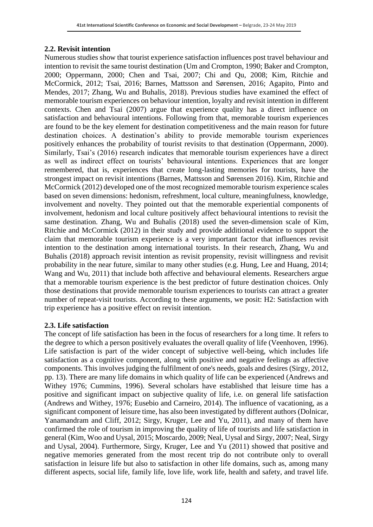# **2.2. Revisit intention**

Numerous studies show that tourist experience satisfaction influences post travel behaviour and intention to revisit the same tourist destination (Um and Crompton, 1990; Baker and Crompton, 2000; Oppermann, 2000; Chen and Tsai, 2007; Chi and Qu, 2008; Kim, Ritchie and McCormick, 2012; Tsai, 2016; Barnes, Mattsson and Sørensen, 2016; Agapito, Pinto and Mendes, 2017; Zhang, Wu and Buhalis, 2018). Previous studies have examined the effect of memorable tourism experiences on behaviour intention, loyalty and revisit intention in different contexts. Chen and Tsai (2007) argue that experience quality has a direct influence on satisfaction and behavioural intentions. Following from that, memorable tourism experiences are found to be the key element for destination competitiveness and the main reason for future destination choices. A destination's ability to provide memorable tourism experiences positively enhances the probability of tourist revisits to that destination (Oppermann, 2000). Similarly, Tsai's (2016) research indicates that memorable tourism experiences have a direct as well as indirect effect on tourists' behavioural intentions. Experiences that are longer remembered, that is, experiences that create long-lasting memories for tourists, have the strongest impact on revisit intentions (Barnes, Mattsson and Sørensen 2016). Kim, Ritchie and McCormick (2012) developed one of the most recognized memorable tourism experience scales based on seven dimensions: hedonism, refreshment, local culture, meaningfulness, knowledge, involvement and novelty. They pointed out that the memorable experiential components of involvement, hedonism and local culture positively affect behavioural intentions to revisit the same destination. Zhang, Wu and Buhalis (2018) used the seven-dimension scale of Kim, Ritchie and McCormick (2012) in their study and provide additional evidence to support the claim that memorable tourism experience is a very important factor that influences revisit intention to the destination among international tourists. In their research, Zhang, Wu and Buhalis (2018) approach revisit intention as revisit propensity, revisit willingness and revisit probability in the near future, similar to many other studies (e.g. Hung, Lee and Huang, 2014; Wang and Wu, 2011) that include both affective and behavioural elements. Researchers argue that a memorable tourism experience is the best predictor of future destination choices. Only those destinations that provide memorable tourism experiences to tourists can attract a greater number of repeat-visit tourists. According to these arguments, we posit: H2: Satisfaction with trip experience has a positive effect on revisit intention.

# **2.3. Life satisfaction**

The concept of life satisfaction has been in the focus of researchers for a long time. It refers to the degree to which a person positively evaluates the overall quality of life (Veenhoven, 1996). Life satisfaction is part of the wider concept of subjective well-being, which includes life satisfaction as a cognitive component, along with positive and negative feelings as affective components. This involves judging the fulfilment of one's needs, goals and desires (Sirgy, 2012, pp. 13). There are many life domains in which quality of life can be experienced (Andrews and Withey 1976; Cummins, 1996). Several scholars have established that leisure time has a positive and significant impact on subjective quality of life, i.e. on general life satisfaction (Andrews and Withey, 1976; Eusebio and Carneiro, 2014). The influence of vacationing, as a significant component of leisure time, has also been investigated by different authors (Dolnicar, Yanamandram and Cliff, 2012; Sirgy, Kruger, Lee and Yu, 2011), and many of them have confirmed the role of tourism in improving the quality of life of tourists and life satisfaction in general (Kim, Woo and Uysal, 2015; Moscardo, 2009; Neal, Uysal and Sirgy, 2007; Neal, Sirgy and Uysal, 2004). Furthermore, Sirgy, Kruger, Lee and Yu (2011) showed that positive and negative memories generated from the most recent trip do not contribute only to overall satisfaction in leisure life but also to satisfaction in other life domains, such as, among many different aspects, social life, family life, love life, work life, health and safety, and travel life.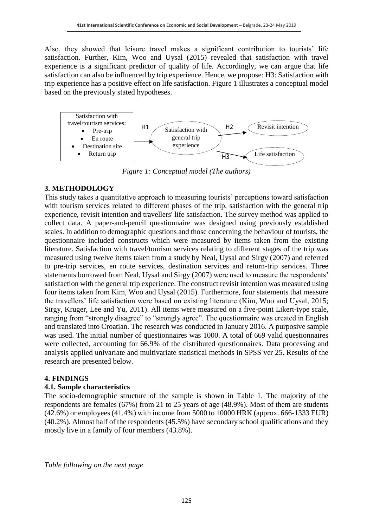Also, they showed that leisure travel makes a significant contribution to tourists' life satisfaction. Further, Kim, Woo and Uysal (2015) revealed that satisfaction with travel experience is a significant predictor of quality of life. Accordingly, we can argue that life satisfaction can also be influenced by trip experience. Hence, we propose: H3: Satisfaction with trip experience has a positive effect on life satisfaction. Figure 1 illustrates a conceptual model based on the previously stated hypotheses.



*Figure 1: Conceptual model (The authors)*

# **3. METHODOLOGY**

This study takes a quantitative approach to measuring tourists' perceptions toward satisfaction with tourism services related to different phases of the trip, satisfaction with the general trip experience, revisit intention and travellers' life satisfaction. The survey method was applied to collect data. A paper-and-pencil questionnaire was designed using previously established scales. In addition to demographic questions and those concerning the behaviour of tourists, the questionnaire included constructs which were measured by items taken from the existing literature. Satisfaction with travel/tourism services relating to different stages of the trip was measured using twelve items taken from a study by Neal, Uysal and Sirgy (2007) and referred to pre-trip services, en route services, destination services and return-trip services. Three statements borrowed from Neal, Uysal and Sirgy (2007) were used to measure the respondents' satisfaction with the general trip experience. The construct revisit intention was measured using four items taken from Kim, Woo and Uysal (2015). Furthermore, four statements that measure the travellers' life satisfaction were based on existing literature (Kim, Woo and Uysal, 2015; Sirgy, Kruger, Lee and Yu, 2011). All items were measured on a five-point Likert-type scale, ranging from "strongly disagree" to "strongly agree". The questionnaire was created in English and translated into Croatian. The research was conducted in January 2016. A purposive sample was used. The initial number of questionnaires was 1000. A total of 669 valid questionnaires were collected, accounting for 66.9% of the distributed questionnaires. Data processing and analysis applied univariate and multivariate statistical methods in SPSS ver 25. Results of the research are presented below.

# **4. FINDINGS**

# **4.1. Sample characteristics**

The socio-demographic structure of the sample is shown in Table 1. The majority of the respondents are females (67%) from 21 to 25 years of age (48.9%). Most of them are students (42.6%) or employees (41.4%) with income from 5000 to 10000 HRK (approx. 666-1333 EUR) (40.2%). Almost half of the respondents (45.5%) have secondary school qualifications and they mostly live in a family of four members (43.8%).

*Table following on the next page*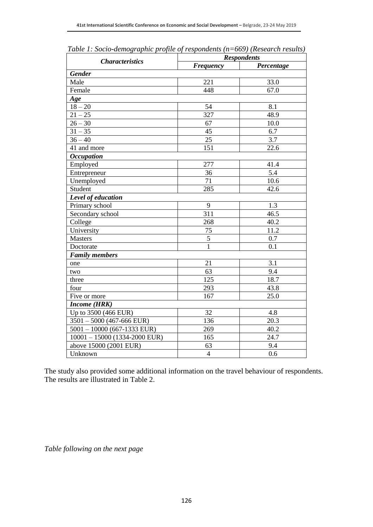|                                 | <b>Respondents</b> |                  |  |
|---------------------------------|--------------------|------------------|--|
| <b>Characteristics</b>          | <b>Frequency</b>   | Percentage       |  |
| <b>Gender</b>                   |                    |                  |  |
| Male                            | 221                | 33.0             |  |
| Female                          | 448                | 67.0             |  |
| Age                             |                    |                  |  |
| $18 - 20$                       | 54                 | 8.1              |  |
| $21 - 25$                       | 327                | 48.9             |  |
| $26 - 30$                       | 67                 | 10.0             |  |
| $31 - 35$                       | 45                 | 6.7              |  |
| $36 - 40$                       | 25                 | 3.7              |  |
| 41 and more                     | 151                | 22.6             |  |
| <b>Occupation</b>               |                    |                  |  |
| Employed                        | 277                | 41.4             |  |
| Entrepreneur                    | 36                 | 5.4              |  |
| Unemployed                      | 71                 | 10.6             |  |
| Student                         | 285                | 42.6             |  |
| Level of education              |                    |                  |  |
| Primary school                  | 9                  | 1.3              |  |
| Secondary school                | 311                | 46.5             |  |
| College                         | 268                | 40.2             |  |
| University                      | 75                 | 11.2             |  |
| <b>Masters</b>                  | 5                  | 0.7              |  |
| Doctorate                       | $\mathbf{1}$       | 0.1              |  |
| <b>Family members</b>           |                    |                  |  |
| one                             | 21                 | $\overline{3.1}$ |  |
| two                             | 63                 | 9.4              |  |
| three                           | 125                | 18.7             |  |
| four                            | 293                | 43.8             |  |
| Five or more                    | 167                | 25.0             |  |
| <b>Income (HRK)</b>             |                    |                  |  |
| Up to 3500 (466 EUR)            | 32                 | 4.8              |  |
| $3501 - 5000$ (467-666 EUR)     | 136                | 20.3             |  |
| $5001 - 10000$ (667-1333 EUR)   | 269                | 40.2             |  |
| $10001 - 15000$ (1334-2000 EUR) | 165                | 24.7             |  |
| above 15000 (2001 EUR)          | 63                 | 9.4              |  |
| Unknown                         | $\overline{4}$     | 0.6              |  |

*Table 1: Socio-demographic profile of respondents (n=669) (Research results)*

The study also provided some additional information on the travel behaviour of respondents. The results are illustrated in Table 2.

*Table following on the next page*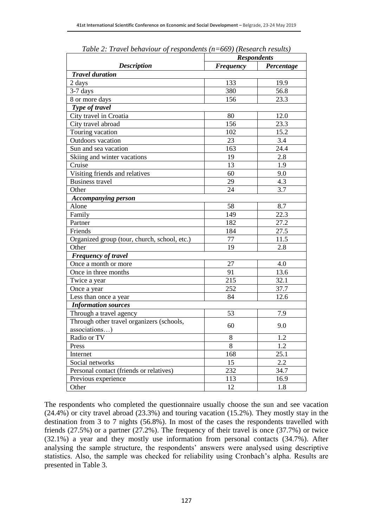|                                              | <b>Respondents</b> |            |
|----------------------------------------------|--------------------|------------|
| <b>Description</b>                           | Frequency          | Percentage |
| <b>Travel duration</b>                       |                    |            |
| 2 days                                       | 133                | 19.9       |
| 3-7 days                                     | 380                | 56.8       |
| 8 or more days                               | 156                | 23.3       |
| Type of travel                               |                    |            |
| City travel in Croatia                       | 80                 | 12.0       |
| City travel abroad                           | 156                | 23.3       |
| Touring vacation                             | 102                | 15.2       |
| Outdoors vacation                            | 23                 | 3.4        |
| Sun and sea vacation                         | 163                | 24.4       |
| Skiing and winter vacations                  | 19                 | 2.8        |
| Cruise                                       | 13                 | 1.9        |
| Visiting friends and relatives               | 60                 | 9.0        |
| <b>Business travel</b>                       | 29                 | 4.3        |
| Other                                        | 24                 | 3.7        |
| <b>Accompanying person</b>                   |                    |            |
| Alone                                        | 58                 | 8.7        |
| Family                                       | 149                | 22.3       |
| Partner                                      | 182                | 27.2       |
| Friends                                      | 184                | 27.5       |
| Organized group (tour, church, school, etc.) | 77                 | 11.5       |
| Other                                        | 19                 | 2.8        |
| <b>Frequency of travel</b>                   |                    |            |
| Once a month or more                         | 27                 | 4.0        |
| Once in three months                         | 91                 | 13.6       |
| Twice a year                                 | 215                | 32.1       |
| Once a year                                  | 252                | 37.7       |
| Less than once a year                        | 84                 | 12.6       |
| <b>Information sources</b>                   |                    |            |
| Through a travel agency                      | 53                 | 7.9        |
| Through other travel organizers (schools,    |                    |            |
| associations)                                | 60                 | 9.0        |
| Radio or TV                                  | $8\,$              | 1.2        |
| Press                                        | 8                  | 1.2        |
| Internet                                     | 168                | 25.1       |
| Social networks                              | 15                 | 2.2        |
| Personal contact (friends or relatives)      | 232                | 34.7       |
| Previous experience                          | 113                | 16.9       |
| Other                                        | 12                 | 1.8        |

*Table 2: Travel behaviour of respondents (n=669) (Research results)*

The respondents who completed the questionnaire usually choose the sun and see vacation (24.4%) or city travel abroad (23.3%) and touring vacation (15.2%). They mostly stay in the destination from 3 to 7 nights (56.8%). In most of the cases the respondents travelled with friends (27.5%) or a partner (27.2%). The frequency of their travel is once (37.7%) or twice (32.1%) a year and they mostly use information from personal contacts (34.7%). After analysing the sample structure, the respondents' answers were analysed using descriptive statistics. Also, the sample was checked for reliability using Cronbach's alpha. Results are presented in Table 3.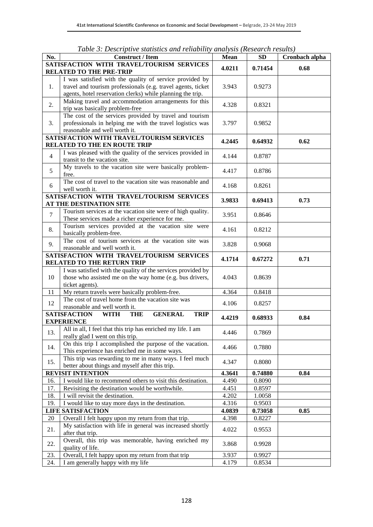|                | Table 5: Descriptive statistics and retiability analysis (Research results)       |                 |           |                |
|----------------|-----------------------------------------------------------------------------------|-----------------|-----------|----------------|
| No.            | <b>Construct / Item</b>                                                           | <b>Mean</b>     | <b>SD</b> | Cronbach alpha |
|                | SATISFACTION WITH TRAVEL/TOURISM SERVICES<br><b>RELATED TO THE PRE-TRIP</b>       | 4.0211          | 0.71454   | 0.68           |
|                | I was satisfied with the quality of service provided by                           |                 |           |                |
| 1.             | travel and tourism professionals (e.g. travel agents, ticket                      | 3.943           | 0.9273    |                |
|                | agents, hotel reservation clerks) while planning the trip.                        |                 |           |                |
|                | Making travel and accommodation arrangements for this                             |                 |           |                |
| 2.             | trip was basically problem-free                                                   | 4.328           | 0.8321    |                |
|                | The cost of the services provided by travel and tourism                           |                 |           |                |
| 3.             | professionals in helping me with the travel logistics was                         | 3.797           | 0.9852    |                |
|                | reasonable and well worth it.                                                     |                 |           |                |
|                | SATISFACTION WITH TRAVEL/TOURISM SERVICES                                         |                 |           |                |
|                | <b>RELATED TO THE EN ROUTE TRIP</b>                                               | 4.2445          | 0.64932   | 0.62           |
|                | I was pleased with the quality of the services provided in                        |                 |           |                |
| $\overline{4}$ | transit to the vacation site.                                                     | 4.144           | 0.8787    |                |
|                | My travels to the vacation site were basically problem-                           |                 |           |                |
| 5              | free.                                                                             | 4.417           | 0.8786    |                |
|                | The cost of travel to the vacation site was reasonable and                        |                 |           |                |
| 6              | well worth it.                                                                    | 4.168           | 0.8261    |                |
|                | SATISFACTION WITH TRAVEL/TOURISM SERVICES                                         |                 |           |                |
|                | AT THE DESTINATION SITE                                                           | 3.9833          | 0.69413   | 0.73           |
| $\overline{7}$ | Tourism services at the vacation site were of high quality.                       |                 |           |                |
|                | These services made a richer experience for me.                                   | 3.951           | 0.8646    |                |
|                | Tourism services provided at the vacation site were                               |                 |           |                |
| 8.             | basically problem-free.                                                           | 4.161           | 0.8212    |                |
|                | The cost of tourism services at the vacation site was                             |                 |           |                |
| 9.             | reasonable and well worth it.                                                     | 3.828           | 0.9068    |                |
|                | SATISFACTION WITH TRAVEL/TOURISM SERVICES                                         |                 |           |                |
|                | <b>RELATED TO THE RETURN TRIP</b>                                                 | 4.1714          | 0.67272   | 0.71           |
|                | I was satisfied with the quality of the services provided by                      |                 |           |                |
| 10             | those who assisted me on the way home (e.g. bus drivers,                          | 4.043           | 0.8639    |                |
|                | ticket agents).                                                                   |                 |           |                |
| 11             | My return travels were basically problem-free.                                    | 4.364           | 0.8418    |                |
| 12             | The cost of travel home from the vacation site was                                | 4.106           | 0.8257    |                |
|                | reasonable and well worth it.                                                     |                 |           |                |
|                | <b>SATISFACTION</b><br><b>THE</b><br><b>GENERAL</b><br><b>WITH</b><br><b>TRIP</b> | 4.4219          | 0.68933   | 0.84           |
|                | <b>EXPERIENCE</b>                                                                 |                 |           |                |
| 13.            | All in all, I feel that this trip has enriched my life. I am                      | 4.446           | 0.7869    |                |
|                | really glad I went on this trip.                                                  |                 |           |                |
| 14.            | On this trip I accomplished the purpose of the vacation.                          | 4.466           | 0.7880    |                |
|                | This experience has enriched me in some ways.                                     |                 |           |                |
| 15.            | This trip was rewarding to me in many ways. I feel much                           | 4.347           | 0.8080    |                |
|                | better about things and myself after this trip.                                   |                 |           |                |
|                | <b>REVISIT INTENTION</b>                                                          | 4.3641          | 0.74880   | 0.84           |
| 16.            | I would like to recommend others to visit this destination.                       | 4.490           | 0.8090    |                |
| 17.            | Revisiting the destination would be worthwhile.                                   | 4.451           | 0.8597    |                |
| 18.            | I will revisit the destination.                                                   | 4.202           | 1.0058    |                |
| 19.            | I would like to stay more days in the destination.                                | 4.316           | 0.9503    |                |
|                | <b>LIFE SATISFACTION</b>                                                          |                 | 0.73058   | 0.85           |
| 20             | Overall I felt happy upon my return from that trip.                               | 4.0839<br>4.398 | 0.8227    |                |
|                | My satisfaction with life in general was increased shortly                        |                 |           |                |
| 21.            | after that trip.                                                                  | 4.022           | 0.9553    |                |
|                | Overall, this trip was memorable, having enriched my                              |                 |           |                |
| 22.            | quality of life.                                                                  | 3.868           | 0.9928    |                |
| 23.            | Overall, I felt happy upon my return from that trip                               | 3.937           | 0.9927    |                |
| 24.            | I am generally happy with my life                                                 | 4.179           | 0.8534    |                |

*Table 3: Descriptive statistics and reliability analysis (Research results)*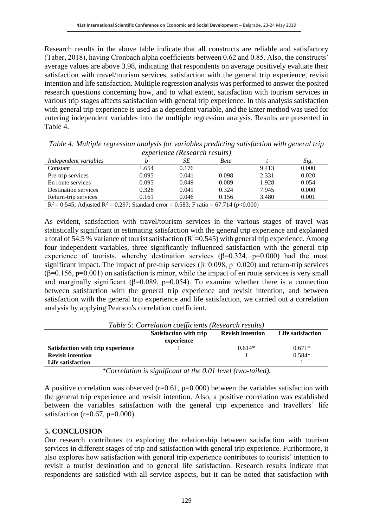Research results in the above table indicate that all constructs are reliable and satisfactory (Taber, 2018), having Cronbach alpha coefficients between 0.62 and 0.85. Also, the constructs' average values are above 3.98, indicating that respondents on average positively evaluate their satisfaction with travel/tourism services, satisfaction with the general trip experience, revisit intention and life satisfaction. Multiple regression analysis was performed to answer the posited research questions concerning how, and to what extent, satisfaction with tourism services in various trip stages affects satisfaction with general trip experience. In this analysis satisfaction with general trip experience is used as a dependent variable, and the Enter method was used for entering independent variables into the multiple regression analysis. Results are presented in Table 4.

| experience inesearch results)                                                               |       |       |       |       |       |
|---------------------------------------------------------------------------------------------|-------|-------|-------|-------|-------|
| Independent variables                                                                       |       | SЕ    | Beta  |       | Sig.  |
| Constant                                                                                    | 1.654 | 0.176 |       | 9.413 | 0.000 |
| Pre-trip services                                                                           | 0.095 | 0.041 | 0.098 | 2.331 | 0.020 |
| En route services                                                                           | 0.095 | 0.049 | 0.089 | 1.928 | 0.054 |
| <b>Destination services</b>                                                                 | 0.326 | 0.041 | 0.324 | 7.945 | 0.000 |
| Return-trip services                                                                        | 0.161 | 0.046 | 0.156 | 3.480 | 0.001 |
| $R^2 = 0.545$ ; Adjusted $R^2 = 0.297$ ; Standard error = 0.583; F ratio = 67.714 (p<0.000) |       |       |       |       |       |

*Table 4: Multiple regression analysis for variables predicting satisfaction with general trip experience (Research results)*

As evident, satisfaction with travel/tourism services in the various stages of travel was statistically significant in estimating satisfaction with the general trip experience and explained a total of 54.5 % variance of tourist satisfaction  $(R^2=0.545)$  with general trip experience. Among four independent variables, three significantly influenced satisfaction with the general trip experience of tourists, whereby destination services  $(\beta=0.324, p=0.000)$  had the most significant impact. The impact of pre-trip services ( $\beta$ =0.098, p=0.020) and return-trip services  $(\beta=0.156, p=0.001)$  on satisfaction is minor, while the impact of en route services is very small and marginally significant ( $\beta$ =0.089, p=0.054). To examine whether there is a connection between satisfaction with the general trip experience and revisit intention, and between satisfaction with the general trip experience and life satisfaction, we carried out a correlation analysis by applying Pearson's correlation coefficient.

| Table 5: Correlation coefficients (Research results) |                               |                          |                   |  |
|------------------------------------------------------|-------------------------------|--------------------------|-------------------|--|
|                                                      | <b>Satisfaction with trip</b> | <b>Revisit intention</b> | Life satisfaction |  |
|                                                      | experience                    |                          |                   |  |
| Satisfaction with trip experience                    |                               | $0.614*$                 | $0.671*$          |  |
| <b>Revisit intention</b>                             |                               |                          | $0.584*$          |  |
| Life satisfaction                                    |                               |                          |                   |  |

*Table 5: Correlation coefficients (Research results)*

*\*Correlation is significant at the 0.01 level (two-tailed).*

A positive correlation was observed  $(r=0.61, p=0.000)$  between the variables satisfaction with the general trip experience and revisit intention. Also, a positive correlation was established between the variables satisfaction with the general trip experience and travellers' life satisfaction ( $r=0.67$ ,  $p=0.000$ ).

#### **5. CONCLUSION**

Our research contributes to exploring the relationship between satisfaction with tourism services in different stages of trip and satisfaction with general trip experience. Furthermore, it also explores how satisfaction with general trip experience contributes to tourists' intention to revisit a tourist destination and to general life satisfaction. Research results indicate that respondents are satisfied with all service aspects, but it can be noted that satisfaction with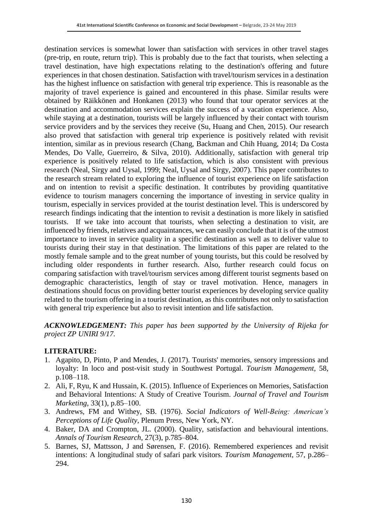destination services is somewhat lower than satisfaction with services in other travel stages (pre-trip, en route, return trip). This is probably due to the fact that tourists, when selecting a travel destination, have high expectations relating to the destination's offering and future experiences in that chosen destination. Satisfaction with travel/tourism services in a destination has the highest influence on satisfaction with general trip experience. This is reasonable as the majority of travel experience is gained and encountered in this phase. Similar results were obtained by Räikkönen and Honkanen (2013) who found that tour operator services at the destination and accommodation services explain the success of a vacation experience. Also, while staying at a destination, tourists will be largely influenced by their contact with tourism service providers and by the services they receive (Su, Huang and Chen, 2015). Our research also proved that satisfaction with general trip experience is positively related with revisit intention, similar as in previous research (Chang, Backman and Chih Huang, 2014; Da Costa Mendes, Do Valle, Guerreiro, & Silva, 2010). Additionally, satisfaction with general trip experience is positively related to life satisfaction, which is also consistent with previous research (Neal, Sirgy and Uysal, 1999; Neal, Uysal and Sirgy, 2007). This paper contributes to the research stream related to exploring the influence of tourist experience on life satisfaction and on intention to revisit a specific destination. It contributes by providing quantitative evidence to tourism managers concerning the importance of investing in service quality in tourism, especially in services provided at the tourist destination level. This is underscored by research findings indicating that the intention to revisit a destination is more likely in satisfied tourists. If we take into account that tourists, when selecting a destination to visit, are influenced by friends, relatives and acquaintances, we can easily conclude that it is of the utmost importance to invest in service quality in a specific destination as well as to deliver value to tourists during their stay in that destination. The limitations of this paper are related to the mostly female sample and to the great number of young tourists, but this could be resolved by including older respondents in further research. Also, further research could focus on comparing satisfaction with travel/tourism services among different tourist segments based on demographic characteristics, length of stay or travel motivation. Hence, managers in destinations should focus on providing better tourist experiences by developing service quality related to the tourism offering in a tourist destination, as this contributes not only to satisfaction with general trip experience but also to revisit intention and life satisfaction.

*ACKNOWLEDGEMENT: This paper has been supported by the University of Rijeka for project ZP UNIRI 9/17.*

# **LITERATURE:**

- 1. Agapito, D, Pinto, P and Mendes, J. (2017). Tourists' memories, sensory impressions and loyalty: In loco and post-visit study in Southwest Portugal. *Tourism Management*, 58, p.108–118.
- 2. Ali, F, Ryu, K and Hussain, K. (2015). Influence of Experiences on Memories, Satisfaction and Behavioral Intentions: A Study of Creative Tourism. *Journal of Travel and Tourism Marketing*, 33(1), p.85–100.
- 3. Andrews, FM and Withey, SB. (1976). *Social Indicators of Well-Being: American's Perceptions of Life Quality*, Plenum Press, New York, NY.
- 4. Baker, DA and Crompton, JL. (2000). Quality, satisfaction and behavioural intentions. *Annals of Tourism Research*, 27(3), p.785–804.
- 5. Barnes, SJ, Mattsson, J and Sørensen, F. (2016). Remembered experiences and revisit intentions: A longitudinal study of safari park visitors. *Tourism Management*, 57, p.286– 294.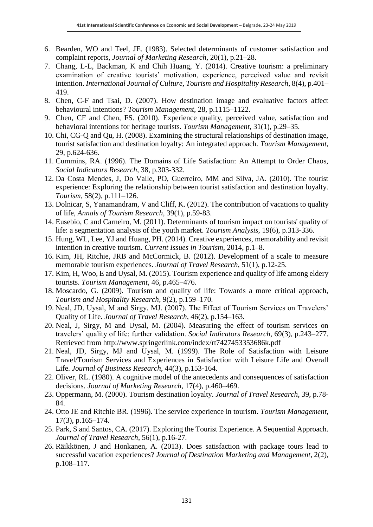- 6. Bearden, WO and Teel, JE. (1983). Selected determinants of customer satisfaction and complaint reports, *Journal of Marketing Research*, 20(1), p.21–28.
- 7. Chang, L-L, Backman, K and Chih Huang, Y. (2014). Creative tourism: a preliminary examination of creative tourists' motivation, experience, perceived value and revisit intention. *International Journal of Culture, Tourism and Hospitality Research*, 8(4), p.401– 419.
- 8. Chen, C-F and Tsai, D. (2007). How destination image and evaluative factors affect behavioural intentions? *Tourism Management*, 28, p.1115–1122.
- 9. Chen, CF and Chen, FS. (2010). Experience quality, perceived value, satisfaction and behavioral intentions for heritage tourists. *Tourism Management*, 31(1), p.29–35.
- 10. Chi, CG-Q and Qu, H. (2008). Examining the structural relationships of destination image, tourist satisfaction and destination loyalty: An integrated approach. *Tourism Management*, 29, p.624-636.
- 11. Cummins, RA. (1996). The Domains of Life Satisfaction: An Attempt to Order Chaos, *Social Indicators Research*, 38, p.303-332.
- 12. Da Costa Mendes, J, Do Valle, PO, Guerreiro, MM and Silva, JA. (2010). The tourist experience: Exploring the relationship between tourist satisfaction and destination loyalty. *Tourism*, 58(2), p.111–126.
- 13. Dolnicar, S, Yanamandram, V and Cliff, K. (2012). The contribution of vacations to quality of life, *Annals of Tourism Research*, 39(1), p.59-83.
- 14. Eusebio, C and Carneiro, M. (2011). Determinants of tourism impact on tourists' quality of life: a segmentation analysis of the youth market. *Tourism Analysis*, 19(6), p.313-336.
- 15. Hung, WL, Lee, YJ and Huang, PH. (2014). Creative experiences, memorability and revisit intention in creative tourism. *Current Issues in Tourism*, 2014, p.1–8.
- 16. Kim, JH, Ritchie, JRB and McCormick, B. (2012). Development of a scale to measure memorable tourism experiences. *Journal of Travel Research*, 51(1), p.12-25.
- 17. Kim, H, Woo, E and Uysal, M. (2015). Tourism experience and quality of life among eldery tourists. *Tourism Management*, 46, p.465–476.
- 18. Moscardo, G. (2009). Tourism and quality of life: Towards a more critical approach, *Tourism and Hospitality Research*, 9(2), p.159–170.
- 19. Neal, JD, Uysal, M and Sirgy, MJ. (2007). The Effect of Tourism Services on Travelers' Quality of Life. *Journal of Travel Research*, 46(2), p.154–163.
- 20. Neal, J, Sirgy, M and Uysal, M. (2004). Measuring the effect of tourism services on travelers' quality of life: further validation. *Social Indicators Research*, 69(3), p.243–277. Retrieved from http://www.springerlink.com/index/rt7427453353686k.pdf
- 21. Neal, JD, Sirgy, MJ and Uysal, M. (1999). The Role of Satisfaction with Leisure Travel/Tourism Services and Experiences in Satisfaction with Leisure Life and Overall Life. *Journal of Business Research*, 44(3), p.153-164.
- 22. Oliver, RL. (1980). A cognitive model of the antecedents and consequences of satisfaction decisions. *Journal of Marketing Research*, 17(4), p.460–469.
- 23. Oppermann, M. (2000). Tourism destination loyalty. *Journal of Travel Research*, 39, p.78- 84.
- 24. Otto JE and Ritchie BR. (1996). The service experience in tourism. *Tourism Management,*  17(3), p.165–174.
- 25. Park, S and Santos, CA. (2017). Exploring the Tourist Experience. A Sequential Approach. *Journal of Travel Research*, 56(1), p.16-27.
- 26. Räikkönen, J and Honkanen, A. (2013). Does satisfaction with package tours lead to successful vacation experiences? *Journal of Destination Marketing and Management*, 2(2), p.108–117.